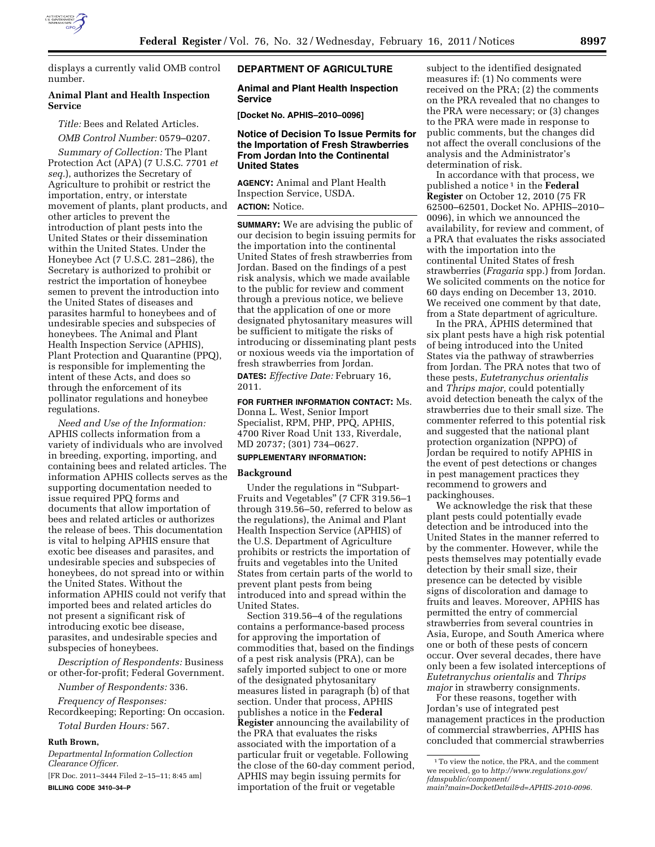

displays a currently valid OMB control number.

### **Animal Plant and Health Inspection Service**

*Title:* Bees and Related Articles.

*OMB Control Number:* 0579–0207. *Summary of Collection:* The Plant Protection Act (APA) (7 U.S.C. 7701 *et seq.*), authorizes the Secretary of Agriculture to prohibit or restrict the importation, entry, or interstate movement of plants, plant products, and other articles to prevent the introduction of plant pests into the United States or their dissemination within the United States. Under the Honeybee Act (7 U.S.C. 281–286), the Secretary is authorized to prohibit or restrict the importation of honeybee semen to prevent the introduction into the United States of diseases and parasites harmful to honeybees and of undesirable species and subspecies of honeybees. The Animal and Plant Health Inspection Service (APHIS), Plant Protection and Quarantine (PPQ), is responsible for implementing the intent of these Acts, and does so through the enforcement of its pollinator regulations and honeybee

*Need and Use of the Information:*  APHIS collects information from a variety of individuals who are involved in breeding, exporting, importing, and containing bees and related articles. The information APHIS collects serves as the supporting documentation needed to issue required PPQ forms and documents that allow importation of bees and related articles or authorizes the release of bees. This documentation is vital to helping APHIS ensure that exotic bee diseases and parasites, and undesirable species and subspecies of honeybees, do not spread into or within the United States. Without the information APHIS could not verify that imported bees and related articles do not present a significant risk of introducing exotic bee disease, parasites, and undesirable species and subspecies of honeybees.

*Description of Respondents:* Business or other-for-profit; Federal Government.

*Number of Respondents:* 336.

*Frequency of Responses:*  Recordkeeping; Reporting: On occasion.

*Total Burden Hours:* 567.

### **Ruth Brown,**

regulations.

*Departmental Information Collection Clearance Officer.*  [FR Doc. 2011–3444 Filed 2–15–11; 8:45 am] **BILLING CODE 3410–34–P** 

### **DEPARTMENT OF AGRICULTURE**

### **Animal and Plant Health Inspection Service**

**[Docket No. APHIS–2010–0096]** 

### **Notice of Decision To Issue Permits for the Importation of Fresh Strawberries From Jordan Into the Continental United States**

**AGENCY:** Animal and Plant Health Inspection Service, USDA.

**ACTION:** Notice.

**SUMMARY:** We are advising the public of our decision to begin issuing permits for the importation into the continental United States of fresh strawberries from Jordan. Based on the findings of a pest risk analysis, which we made available to the public for review and comment through a previous notice, we believe that the application of one or more designated phytosanitary measures will be sufficient to mitigate the risks of introducing or disseminating plant pests or noxious weeds via the importation of fresh strawberries from Jordan.

**DATES:** *Effective Date:* February 16, 2011.

**FOR FURTHER INFORMATION CONTACT:** Ms. Donna L. West, Senior Import Specialist, RPM, PHP, PPQ, APHIS, 4700 River Road Unit 133, Riverdale, MD 20737; (301) 734–0627.

# **SUPPLEMENTARY INFORMATION:**

#### **Background**

Under the regulations in ''Subpart-Fruits and Vegetables'' (7 CFR 319.56–1 through 319.56–50, referred to below as the regulations), the Animal and Plant Health Inspection Service (APHIS) of the U.S. Department of Agriculture prohibits or restricts the importation of fruits and vegetables into the United States from certain parts of the world to prevent plant pests from being introduced into and spread within the United States.

Section 319.56–4 of the regulations contains a performance-based process for approving the importation of commodities that, based on the findings of a pest risk analysis (PRA), can be safely imported subject to one or more of the designated phytosanitary measures listed in paragraph (b) of that section. Under that process, APHIS publishes a notice in the **Federal Register** announcing the availability of the PRA that evaluates the risks associated with the importation of a particular fruit or vegetable. Following the close of the 60-day comment period, APHIS may begin issuing permits for importation of the fruit or vegetable

subject to the identified designated measures if: (1) No comments were received on the PRA; (2) the comments on the PRA revealed that no changes to the PRA were necessary; or (3) changes to the PRA were made in response to public comments, but the changes did not affect the overall conclusions of the analysis and the Administrator's determination of risk.

In accordance with that process, we published a notice 1 in the **Federal Register** on October 12, 2010 (75 FR 62500–62501, Docket No. APHIS–2010– 0096), in which we announced the availability, for review and comment, of a PRA that evaluates the risks associated with the importation into the continental United States of fresh strawberries (*Fragaria* spp.) from Jordan. We solicited comments on the notice for 60 days ending on December 13, 2010. We received one comment by that date, from a State department of agriculture.

In the PRA, APHIS determined that six plant pests have a high risk potential of being introduced into the United States via the pathway of strawberries from Jordan. The PRA notes that two of these pests, *Eutetranychus orientalis*  and *Thrips major,* could potentially avoid detection beneath the calyx of the strawberries due to their small size. The commenter referred to this potential risk and suggested that the national plant protection organization (NPPO) of Jordan be required to notify APHIS in the event of pest detections or changes in pest management practices they recommend to growers and packinghouses.

We acknowledge the risk that these plant pests could potentially evade detection and be introduced into the United States in the manner referred to by the commenter. However, while the pests themselves may potentially evade detection by their small size, their presence can be detected by visible signs of discoloration and damage to fruits and leaves. Moreover, APHIS has permitted the entry of commercial strawberries from several countries in Asia, Europe, and South America where one or both of these pests of concern occur. Over several decades, there have only been a few isolated interceptions of *Eutetranychus orientalis* and *Thrips major* in strawberry consignments.

For these reasons, together with Jordan's use of integrated pest management practices in the production of commercial strawberries, APHIS has concluded that commercial strawberries

<sup>1</sup>To view the notice, the PRA, and the comment we received, go to *[http://www.regulations.gov/](http://www.regulations.gov/fdmspublic/component/main?main=DocketDetail&d=APHIS-2010-0096)  [fdmspublic/component/](http://www.regulations.gov/fdmspublic/component/main?main=DocketDetail&d=APHIS-2010-0096)* 

*[main?main=DocketDetail&d=APHIS-2010-0096.](http://www.regulations.gov/fdmspublic/component/main?main=DocketDetail&d=APHIS-2010-0096)*